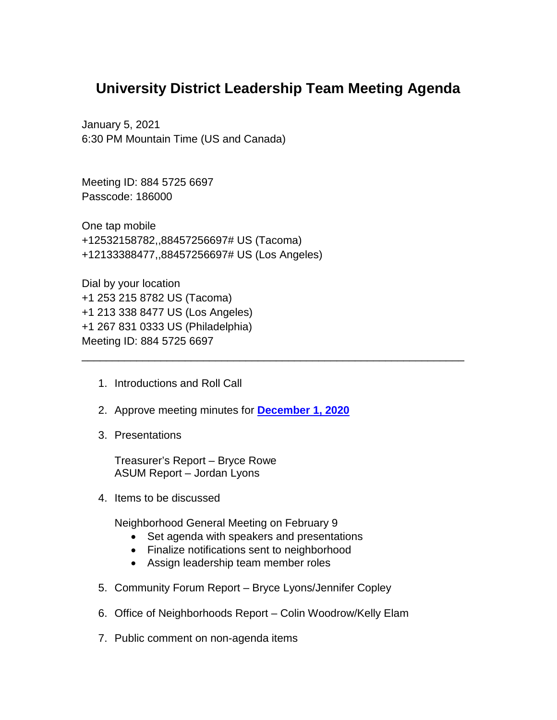## **University District Leadership Team Meeting Agenda**

\_\_\_\_\_\_\_\_\_\_\_\_\_\_\_\_\_\_\_\_\_\_\_\_\_\_\_\_\_\_\_\_\_\_\_\_\_\_\_\_\_\_\_\_\_\_\_\_\_\_\_\_\_\_\_\_\_\_\_\_\_\_\_

January 5, 2021 6:30 PM Mountain Time (US and Canada)

Meeting ID: 884 5725 6697 Passcode: 186000

One tap mobile +12532158782,,88457256697# US (Tacoma) +12133388477,,88457256697# US (Los Angeles)

Dial by your location +1 253 215 8782 US (Tacoma) +1 213 338 8477 US (Los Angeles) +1 267 831 0333 US (Philadelphia) Meeting ID: 884 5725 6697

- 1. Introductions and Roll Call
- 2. Approve meeting minutes for **[December 1, 2020](https://www.ci.missoula.mt.us/Archive.aspx?ADID=15663)**
- 3. Presentations

Treasurer's Report – Bryce Rowe ASUM Report – Jordan Lyons

4. Items to be discussed

Neighborhood General Meeting on February 9

- Set agenda with speakers and presentations
- Finalize notifications sent to neighborhood
- Assign leadership team member roles
- 5. Community Forum Report Bryce Lyons/Jennifer Copley
- 6. Office of Neighborhoods Report Colin Woodrow/Kelly Elam
- 7. Public comment on non-agenda items